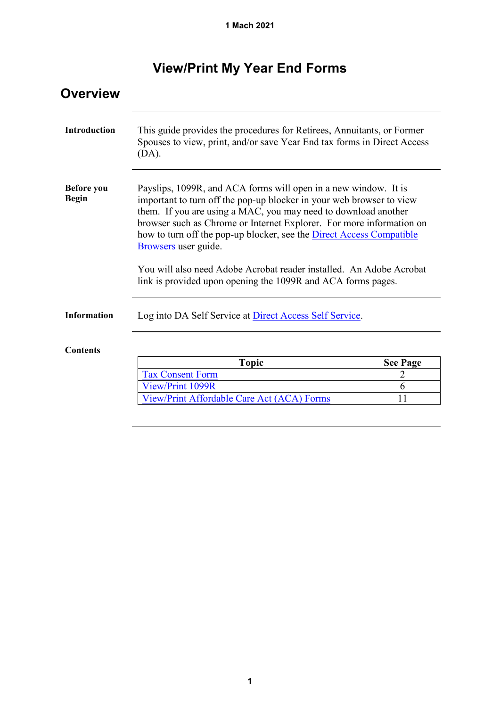# **View/Print My Year End Forms**

| <b>Overview</b>                   |                                                                                                                                                                                                                                                                                                                                                                                                                                                                                                                          |                 |  |  |  |
|-----------------------------------|--------------------------------------------------------------------------------------------------------------------------------------------------------------------------------------------------------------------------------------------------------------------------------------------------------------------------------------------------------------------------------------------------------------------------------------------------------------------------------------------------------------------------|-----------------|--|--|--|
| <b>Introduction</b>               | This guide provides the procedures for Retirees, Annuitants, or Former<br>Spouses to view, print, and/or save Year End tax forms in Direct Access<br>(DA).                                                                                                                                                                                                                                                                                                                                                               |                 |  |  |  |
| <b>Before</b> you<br><b>Begin</b> | Payslips, 1099R, and ACA forms will open in a new window. It is<br>important to turn off the pop-up blocker in your web browser to view<br>them. If you are using a MAC, you may need to download another<br>browser such as Chrome or Internet Explorer. For more information on<br>how to turn off the pop-up blocker, see the Direct Access Compatible<br>Browsers user guide.<br>You will also need Adobe Acrobat reader installed. An Adobe Acrobat<br>link is provided upon opening the 1099R and ACA forms pages. |                 |  |  |  |
| <b>Information</b>                | Log into DA Self Service at Direct Access Self Service.                                                                                                                                                                                                                                                                                                                                                                                                                                                                  |                 |  |  |  |
| <b>Contents</b>                   |                                                                                                                                                                                                                                                                                                                                                                                                                                                                                                                          |                 |  |  |  |
|                                   | <b>Topic</b>                                                                                                                                                                                                                                                                                                                                                                                                                                                                                                             | <b>See Page</b> |  |  |  |
|                                   | <b>Tax Consent Form</b>                                                                                                                                                                                                                                                                                                                                                                                                                                                                                                  | 2               |  |  |  |
|                                   | View/Print 1099R                                                                                                                                                                                                                                                                                                                                                                                                                                                                                                         | 6               |  |  |  |
|                                   | View/Print Affordable Care Act (ACA) Forms                                                                                                                                                                                                                                                                                                                                                                                                                                                                               | 11              |  |  |  |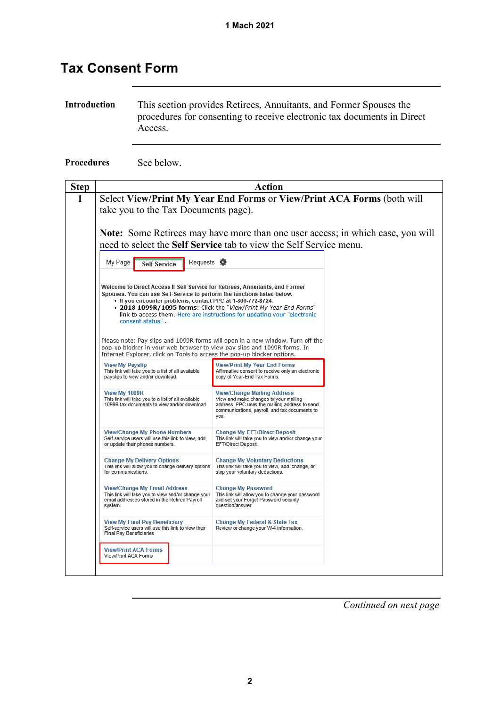### <span id="page-1-0"></span>**Tax Consent Form**

**Introduction** This section provides Retirees, Annuitants, and Former Spouses the procedures for consenting to receive electronic tax documents in Direct Access.

**Procedures** See below.

| <b>Step</b> | <b>Action</b>                                                                                                                                                                                                                                                                                                                                                                                 |                                                                                                                                                                                       |  |  |  |  |  |  |
|-------------|-----------------------------------------------------------------------------------------------------------------------------------------------------------------------------------------------------------------------------------------------------------------------------------------------------------------------------------------------------------------------------------------------|---------------------------------------------------------------------------------------------------------------------------------------------------------------------------------------|--|--|--|--|--|--|
| 1           | Select View/Print My Year End Forms or View/Print ACA Forms (both will                                                                                                                                                                                                                                                                                                                        |                                                                                                                                                                                       |  |  |  |  |  |  |
|             | take you to the Tax Documents page).                                                                                                                                                                                                                                                                                                                                                          |                                                                                                                                                                                       |  |  |  |  |  |  |
|             | <b>Note:</b> Some Retirees may have more than one user access; in which case, you will<br>need to select the Self Service tab to view the Self Service menu.                                                                                                                                                                                                                                  |                                                                                                                                                                                       |  |  |  |  |  |  |
|             | Requests <b>W</b><br>My Page<br><b>Self Service</b>                                                                                                                                                                                                                                                                                                                                           |                                                                                                                                                                                       |  |  |  |  |  |  |
|             | Welcome to Direct Access II Self Service for Retirees, Annuitants, and Former<br>Spouses. You can use Self-Service to perform the functions listed below.<br>- If you encounter problems, contact PPC at 1-866-772-8724,<br>- 2018 1099R/1095 forms: Click the "View/Print My Year End Forms"<br>link to access them. Here are instructions for updating your "electronic<br>consent status". |                                                                                                                                                                                       |  |  |  |  |  |  |
|             | pop-up blocker in your web browser to view pay slips and 1099R forms. In<br>Internet Explorer, click on Tools to access the pop-up blocker options.                                                                                                                                                                                                                                           | Please note: Pay slips and 1099R forms will open in a new window. Turn off the                                                                                                        |  |  |  |  |  |  |
|             | <b>View My Payslip</b><br>This link will take you to a list of all available<br>payslips to view and/or download.                                                                                                                                                                                                                                                                             | <b>View/Print My Year End Forms</b><br>Affirmative consent to receive only an electronic<br>copy of Year-End Tax Forms.                                                               |  |  |  |  |  |  |
|             | View My 1099R<br>This link will take you to a list of all available<br>1099R tax documents to view and/or download.                                                                                                                                                                                                                                                                           | <b>View/Change Mailing Address</b><br>View and make changes to your mailing<br>address. PPC uses the mailing address to send<br>communications, payroll, and tax documents to<br>you. |  |  |  |  |  |  |
|             | <b>View/Change My Phone Numbers</b><br>Self-service users will use this link to view, add.<br>or update their phones numbers.                                                                                                                                                                                                                                                                 |                                                                                                                                                                                       |  |  |  |  |  |  |
|             | <b>Change My Delivery Options</b><br>This link will allow you to change delivery options<br>for communications.                                                                                                                                                                                                                                                                               |                                                                                                                                                                                       |  |  |  |  |  |  |
|             | <b>View/Change My Email Address</b><br>This link will take you to view and/or change your<br>email addresses stored in the Retired Payroll<br>system.                                                                                                                                                                                                                                         | <b>Change My Password</b><br>This link will allow you to change your password<br>and set your Forgot Password security<br>question/answer.                                            |  |  |  |  |  |  |
|             | <b>View My Final Pay Beneficiary</b><br>Self-service users will use this link to view their<br><b>Final Pay Beneficiaries</b>                                                                                                                                                                                                                                                                 | Change My Federal & State Tax<br>Review or change your W-4 information.                                                                                                               |  |  |  |  |  |  |
|             | <b>View/Print ACA Forms</b><br>View/Print ACA Forms                                                                                                                                                                                                                                                                                                                                           |                                                                                                                                                                                       |  |  |  |  |  |  |
|             |                                                                                                                                                                                                                                                                                                                                                                                               |                                                                                                                                                                                       |  |  |  |  |  |  |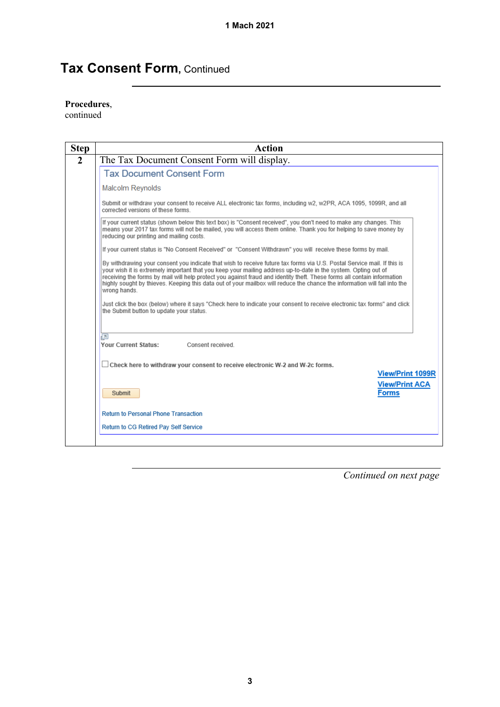### **Tax Consent Form,** Continued

#### **Procedures**,

continued

| Action                                                                                                                                                                                                                                                                                                                                                                                                                                                                                                            |  |  |  |
|-------------------------------------------------------------------------------------------------------------------------------------------------------------------------------------------------------------------------------------------------------------------------------------------------------------------------------------------------------------------------------------------------------------------------------------------------------------------------------------------------------------------|--|--|--|
| The Tax Document Consent Form will display.                                                                                                                                                                                                                                                                                                                                                                                                                                                                       |  |  |  |
| <b>Tax Document Consent Form</b>                                                                                                                                                                                                                                                                                                                                                                                                                                                                                  |  |  |  |
| <b>Malcolm Reynolds</b>                                                                                                                                                                                                                                                                                                                                                                                                                                                                                           |  |  |  |
| Submit or withdraw your consent to receive ALL electronic tax forms, including w2, w2PR, ACA 1095, 1099R, and all<br>corrected versions of these forms                                                                                                                                                                                                                                                                                                                                                            |  |  |  |
| If your current status (shown below this text box) is "Consent received", you don't need to make any changes. This<br>means your 2017 tax forms will not be mailed, you will access them online. Thank you for helping to save money by<br>reducing our printing and mailing costs.                                                                                                                                                                                                                               |  |  |  |
| If your current status is "No Consent Received" or "Consent Withdrawn" you will receive these forms by mail.                                                                                                                                                                                                                                                                                                                                                                                                      |  |  |  |
| By withdrawing your consent you indicate that wish to receive future tax forms via U.S. Postal Service mail. If this is<br>your wish it is extremely important that you keep your mailing address up-to-date in the system. Opting out of<br>receiving the forms by mail will help protect you against fraud and identity theft. These forms all contain information<br>highly sought by thieves. Keeping this data out of your mailbox will reduce the chance the information will fall into the<br>wrong hands. |  |  |  |
| Just click the box (below) where it says "Check here to indicate your consent to receive electronic tax forms" and click<br>the Submit button to update your status.                                                                                                                                                                                                                                                                                                                                              |  |  |  |
| a<br><b>Your Current Status:</b><br>Consent received.                                                                                                                                                                                                                                                                                                                                                                                                                                                             |  |  |  |
|                                                                                                                                                                                                                                                                                                                                                                                                                                                                                                                   |  |  |  |
| $\Box$ Check here to withdraw your consent to receive electronic W-2 and W-2c forms.                                                                                                                                                                                                                                                                                                                                                                                                                              |  |  |  |
| <b>View/Print 1099R</b><br><b>View/Print ACA</b>                                                                                                                                                                                                                                                                                                                                                                                                                                                                  |  |  |  |
| <b>Forms</b><br>Submit                                                                                                                                                                                                                                                                                                                                                                                                                                                                                            |  |  |  |
| <b>Return to Personal Phone Transaction</b>                                                                                                                                                                                                                                                                                                                                                                                                                                                                       |  |  |  |
|                                                                                                                                                                                                                                                                                                                                                                                                                                                                                                                   |  |  |  |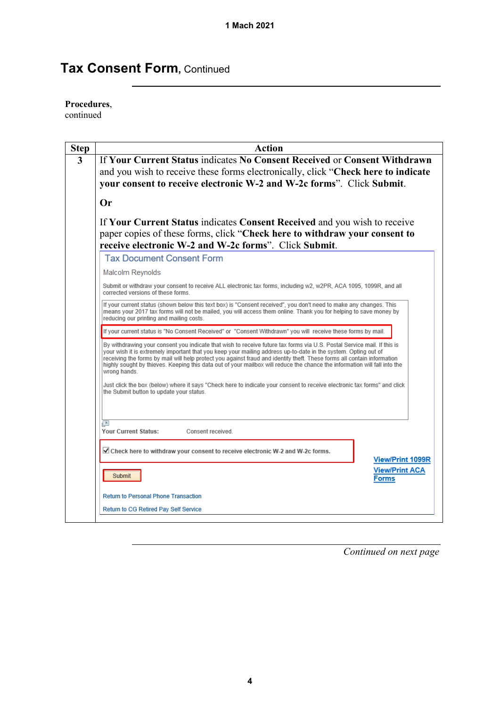## **Tax Consent Form,** Continued

#### **Procedures**,

continued

| <b>Action</b>                                                                                                                                                                                                                                                                                                                                                                                                                                                                                                     |
|-------------------------------------------------------------------------------------------------------------------------------------------------------------------------------------------------------------------------------------------------------------------------------------------------------------------------------------------------------------------------------------------------------------------------------------------------------------------------------------------------------------------|
| If Your Current Status indicates No Consent Received or Consent Withdrawn<br>and you wish to receive these forms electronically, click "Check here to indicate<br>your consent to receive electronic W-2 and W-2c forms". Click Submit.                                                                                                                                                                                                                                                                           |
| Or                                                                                                                                                                                                                                                                                                                                                                                                                                                                                                                |
| If Your Current Status indicates Consent Received and you wish to receive<br>paper copies of these forms, click "Check here to withdraw your consent to<br>receive electronic W-2 and W-2c forms". Click Submit.                                                                                                                                                                                                                                                                                                  |
| <b>Tax Document Consent Form</b>                                                                                                                                                                                                                                                                                                                                                                                                                                                                                  |
| <b>Malcolm Reynolds</b>                                                                                                                                                                                                                                                                                                                                                                                                                                                                                           |
| Submit or withdraw your consent to receive ALL electronic tax forms, including w2, w2PR, ACA 1095, 1099R, and all<br>corrected versions of these forms.                                                                                                                                                                                                                                                                                                                                                           |
| If your current status (shown below this text box) is "Consent received", you don't need to make any changes. This<br>means your 2017 tax forms will not be mailed, you will access them online. Thank you for helping to save money by<br>reducing our printing and mailing costs.                                                                                                                                                                                                                               |
| If your current status is "No Consent Received" or "Consent Withdrawn" you will receive these forms by mail.                                                                                                                                                                                                                                                                                                                                                                                                      |
| By withdrawing your consent you indicate that wish to receive future tax forms via U.S. Postal Service mail. If this is<br>your wish it is extremely important that you keep your mailing address up-to-date in the system. Opting out of<br>receiving the forms by mail will help protect you against fraud and identity theft. These forms all contain information<br>highly sought by thieves. Keeping this data out of your mailbox will reduce the chance the information will fall into the<br>wrong hands. |
| Just click the box (below) where it says "Check here to indicate your consent to receive electronic tax forms" and click<br>the Submit button to update your status.                                                                                                                                                                                                                                                                                                                                              |
|                                                                                                                                                                                                                                                                                                                                                                                                                                                                                                                   |
| a<br><b>Your Current Status:</b><br>Consent received.                                                                                                                                                                                                                                                                                                                                                                                                                                                             |
| ☑ Check here to withdraw your consent to receive electronic W-2 and W-2c forms.<br><b>View/Print 1099R</b>                                                                                                                                                                                                                                                                                                                                                                                                        |
| <b>View/Print ACA</b><br>Submit<br>Forms                                                                                                                                                                                                                                                                                                                                                                                                                                                                          |
| <b>Return to Personal Phone Transaction</b>                                                                                                                                                                                                                                                                                                                                                                                                                                                                       |
| Return to CG Retired Pay Self Service                                                                                                                                                                                                                                                                                                                                                                                                                                                                             |
|                                                                                                                                                                                                                                                                                                                                                                                                                                                                                                                   |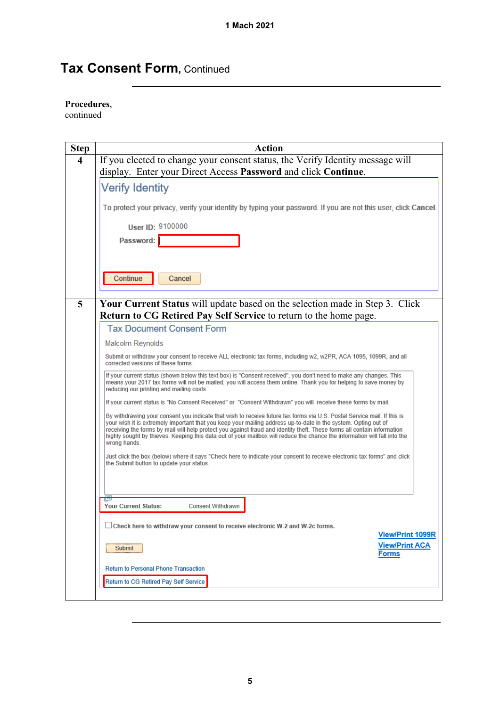### **Tax Consent Form, Continued**

#### **Procedures**,

continued

| <b>Step</b> | <b>Action</b>                                                                                                                                                                                                                                                                                                                                                                                                                                                                                                     |
|-------------|-------------------------------------------------------------------------------------------------------------------------------------------------------------------------------------------------------------------------------------------------------------------------------------------------------------------------------------------------------------------------------------------------------------------------------------------------------------------------------------------------------------------|
| 4           | If you elected to change your consent status, the Verify Identity message will                                                                                                                                                                                                                                                                                                                                                                                                                                    |
|             | display. Enter your Direct Access Password and click Continue.                                                                                                                                                                                                                                                                                                                                                                                                                                                    |
|             | <b>Verify Identity</b>                                                                                                                                                                                                                                                                                                                                                                                                                                                                                            |
|             | To protect your privacy, verify your identity by typing your password. If you are not this user, click Cancel.                                                                                                                                                                                                                                                                                                                                                                                                    |
|             | User ID: 9100000                                                                                                                                                                                                                                                                                                                                                                                                                                                                                                  |
|             | Password:                                                                                                                                                                                                                                                                                                                                                                                                                                                                                                         |
|             | Continue<br>Cancel                                                                                                                                                                                                                                                                                                                                                                                                                                                                                                |
| 5           | Your Current Status will update based on the selection made in Step 3. Click                                                                                                                                                                                                                                                                                                                                                                                                                                      |
|             | <b>Return to CG Retired Pay Self Service to return to the home page.</b>                                                                                                                                                                                                                                                                                                                                                                                                                                          |
|             | <b>Tax Document Consent Form</b>                                                                                                                                                                                                                                                                                                                                                                                                                                                                                  |
|             | Malcolm Reynolds                                                                                                                                                                                                                                                                                                                                                                                                                                                                                                  |
|             | Submit or withdraw your consent to receive ALL electronic tax forms, including w2, w2PR, ACA 1095, 1099R, and all<br>corrected versions of these forms.                                                                                                                                                                                                                                                                                                                                                           |
|             | If your current status (shown below this text box) is "Consent received", you don't need to make any changes. This<br>means your 2017 tax forms will not be mailed, you will access them online. Thank you for helping to save money by<br>reducing our printing and mailing costs.                                                                                                                                                                                                                               |
|             | If your current status is "No Consent Received" or "Consent Withdrawn" you will receive these forms by mail.                                                                                                                                                                                                                                                                                                                                                                                                      |
|             | By withdrawing your consent you indicate that wish to receive future tax forms via U.S. Postal Service mail. If this is<br>your wish it is extremely important that you keep your mailing address up-to-date in the system. Opting out of<br>receiving the forms by mail will help protect you against fraud and identity theft. These forms all contain information<br>highly sought by thieves. Keeping this data out of your mailbox will reduce the chance the information will fall into the<br>wrong hands. |
|             | Just click the box (below) where it says "Check here to indicate your consent to receive electronic tax forms" and click<br>the Submit button to update your status.                                                                                                                                                                                                                                                                                                                                              |
|             |                                                                                                                                                                                                                                                                                                                                                                                                                                                                                                                   |
|             | <b>TEST</b><br>Your Current Status:<br>Consent Withdrawn                                                                                                                                                                                                                                                                                                                                                                                                                                                          |
|             | $\Box$ Check here to withdraw your consent to receive electronic W-2 and W-2c forms.<br><b>View/Print 1099R</b>                                                                                                                                                                                                                                                                                                                                                                                                   |
|             | <b>View/Print ACA</b><br>Submit<br><b>Forms</b>                                                                                                                                                                                                                                                                                                                                                                                                                                                                   |
|             | <b>Return to Personal Phone Transaction</b>                                                                                                                                                                                                                                                                                                                                                                                                                                                                       |
|             | Return to CG Retired Pay Self Service                                                                                                                                                                                                                                                                                                                                                                                                                                                                             |
|             |                                                                                                                                                                                                                                                                                                                                                                                                                                                                                                                   |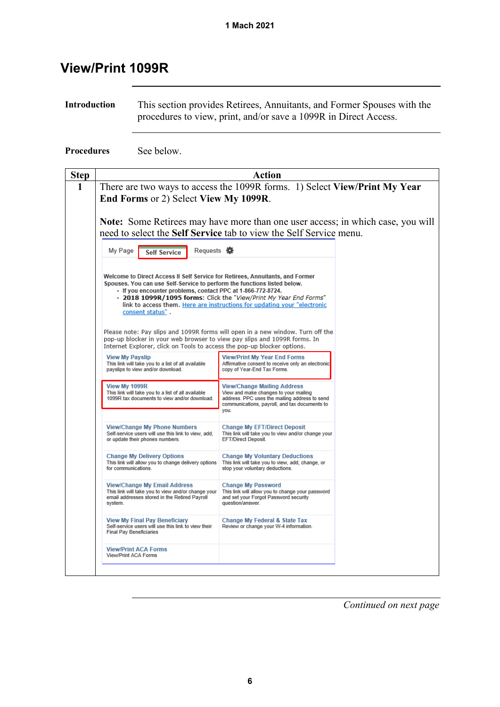### <span id="page-5-0"></span>**View/Print 1099R**

**Introduction** This section provides Retirees, Annuitants, and Former Spouses with the procedures to view, print, and/or save a 1099R in Direct Access.

**Procedures** See below.

| <b>Step</b> | Action                                                                                                                                                                                                                                       |                                                                                                                                                                                       |  |  |  |  |
|-------------|----------------------------------------------------------------------------------------------------------------------------------------------------------------------------------------------------------------------------------------------|---------------------------------------------------------------------------------------------------------------------------------------------------------------------------------------|--|--|--|--|
| 1           | There are two ways to access the 1099R forms. 1) Select View/Print My Year<br>End Forms or 2) Select View My 1099R.<br>Note: Some Retirees may have more than one user access; in which case, you will                                       |                                                                                                                                                                                       |  |  |  |  |
|             | need to select the Self Service tab to view the Self Service menu.<br>Requests <b>娄</b><br>My Page<br><b>Self Service</b>                                                                                                                    |                                                                                                                                                                                       |  |  |  |  |
|             | Welcome to Direct Access II Self Service for Retirees, Annuitants, and Former<br>Spouses. You can use Self-Service to perform the functions listed below.<br>- If you encounter problems, contact PPC at 1-866-772-8724.<br>consent status". | - 2018 1099R/1095 forms: Click the "View/Print My Year End Forms"<br>link to access them. Here are instructions for updating your "electronic                                         |  |  |  |  |
|             | Please note: Pay slips and 1099R forms will open in a new window. Turn off the<br>pop-up blocker in your web browser to view pay slips and 1099R forms. In<br>Internet Explorer, click on Tools to access the pop-up blocker options.        |                                                                                                                                                                                       |  |  |  |  |
|             | <b>View My Payslip</b><br>This link will take you to a list of all available<br>payslips to view and/or download.                                                                                                                            | <b>View/Print My Year End Forms</b><br>Affirmative consent to receive only an electronic<br>copy of Year-End Tax Forms.                                                               |  |  |  |  |
|             | View My 1099R<br>This link will take you to a list of all available<br>1099R tax documents to view and/or download.                                                                                                                          | <b>View/Change Mailing Address</b><br>View and make changes to your mailing<br>address. PPC uses the mailing address to send<br>communications, payroll, and tax documents to<br>you. |  |  |  |  |
|             | <b>View/Change My Phone Numbers</b><br>Self-service users will use this link to view, add,<br>or update their phones numbers.                                                                                                                |                                                                                                                                                                                       |  |  |  |  |
|             | <b>Change My Delivery Options</b><br>This link will allow you to change delivery options<br>for communications.                                                                                                                              |                                                                                                                                                                                       |  |  |  |  |
|             | <b>View/Change My Email Address</b><br>This link will take you to view and/or change your<br>email addresses stored in the Retired Payroll<br>system.                                                                                        |                                                                                                                                                                                       |  |  |  |  |
|             | <b>View My Final Pay Beneficiary</b><br>Self-service users will use this link to view their<br><b>Final Pay Beneficiaries</b>                                                                                                                | Change My Federal & State Tax<br>Review or change your W-4 information.                                                                                                               |  |  |  |  |
|             | <b>View/Print ACA Forms</b><br>View/Print ACA Forms                                                                                                                                                                                          |                                                                                                                                                                                       |  |  |  |  |
|             |                                                                                                                                                                                                                                              |                                                                                                                                                                                       |  |  |  |  |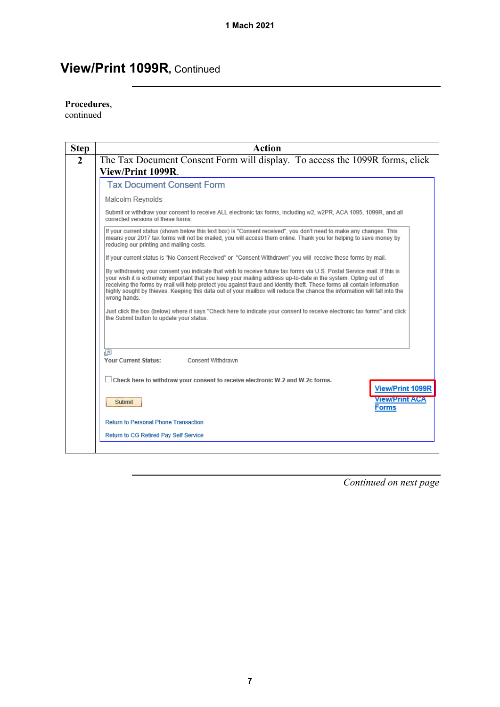#### **Procedures**,

continued

| <b>Step</b>  | <b>Action</b>                                                                                                                                                                                                                                                                                                                                                                                                                                                                                                                                                                                                                                                                             |
|--------------|-------------------------------------------------------------------------------------------------------------------------------------------------------------------------------------------------------------------------------------------------------------------------------------------------------------------------------------------------------------------------------------------------------------------------------------------------------------------------------------------------------------------------------------------------------------------------------------------------------------------------------------------------------------------------------------------|
| $\mathbf{2}$ | The Tax Document Consent Form will display. To access the 1099R forms, click<br>View/Print 1099R.                                                                                                                                                                                                                                                                                                                                                                                                                                                                                                                                                                                         |
|              | <b>Tax Document Consent Form</b>                                                                                                                                                                                                                                                                                                                                                                                                                                                                                                                                                                                                                                                          |
|              | Malcolm Reynolds                                                                                                                                                                                                                                                                                                                                                                                                                                                                                                                                                                                                                                                                          |
|              | Submit or withdraw your consent to receive ALL electronic tax forms, including w2, w2PR, ACA 1095, 1099R, and all<br>corrected versions of these forms                                                                                                                                                                                                                                                                                                                                                                                                                                                                                                                                    |
|              | If your current status (shown below this text box) is "Consent received", you don't need to make any changes. This<br>means your 2017 tax forms will not be mailed, you will access them online. Thank you for helping to save money by<br>reducing our printing and mailing costs.                                                                                                                                                                                                                                                                                                                                                                                                       |
|              | If your current status is "No Consent Received" or "Consent Withdrawn" you will receive these forms by mail.                                                                                                                                                                                                                                                                                                                                                                                                                                                                                                                                                                              |
|              | By withdrawing your consent you indicate that wish to receive future tax forms via U.S. Postal Service mail. If this is<br>your wish it is extremely important that you keep your mailing address up-to-date in the system. Opting out of<br>receiving the forms by mail will help protect you against fraud and identity theft. These forms all contain information<br>highly sought by thieves. Keeping this data out of your mailbox will reduce the chance the information will fall into the<br>wrong hands.<br>Just click the box (below) where it says "Check here to indicate your consent to receive electronic tax forms" and click<br>the Submit button to update your status. |
|              | $\sqrt{2}$<br><b>Your Current Status:</b><br>Consent Withdrawn                                                                                                                                                                                                                                                                                                                                                                                                                                                                                                                                                                                                                            |
|              | $\Box$ Check here to withdraw your consent to receive electronic W-2 and W-2c forms.<br><b>View/Print 1099R</b>                                                                                                                                                                                                                                                                                                                                                                                                                                                                                                                                                                           |
|              | <b>View/Print ACA</b><br>Submit<br><b>Forms</b>                                                                                                                                                                                                                                                                                                                                                                                                                                                                                                                                                                                                                                           |
|              | <b>Return to Personal Phone Transaction</b>                                                                                                                                                                                                                                                                                                                                                                                                                                                                                                                                                                                                                                               |
|              | Return to CG Retired Pay Self Service                                                                                                                                                                                                                                                                                                                                                                                                                                                                                                                                                                                                                                                     |
|              |                                                                                                                                                                                                                                                                                                                                                                                                                                                                                                                                                                                                                                                                                           |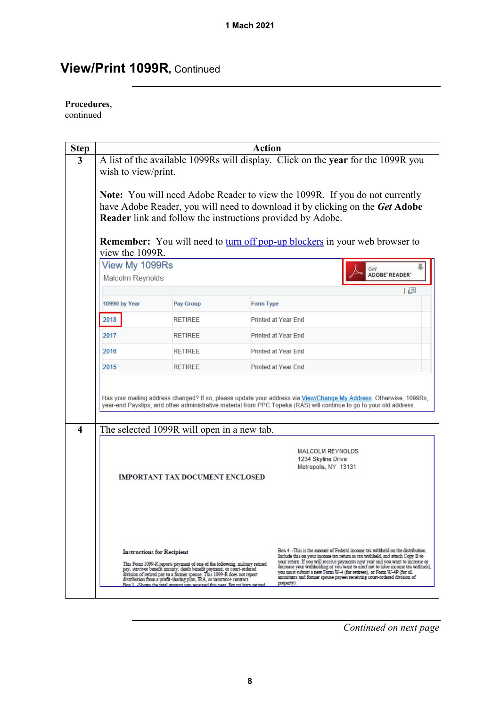#### **Procedures**,

continued

| <b>Step</b>      | <b>Action</b>                                                                                                                                                                                                                             |                                                                                                                                                                                                                                                                                                                                                                                         |           |                                                                                                                                                                                                                                                                                                                                                                                                                                                                                                       |  |  |
|------------------|-------------------------------------------------------------------------------------------------------------------------------------------------------------------------------------------------------------------------------------------|-----------------------------------------------------------------------------------------------------------------------------------------------------------------------------------------------------------------------------------------------------------------------------------------------------------------------------------------------------------------------------------------|-----------|-------------------------------------------------------------------------------------------------------------------------------------------------------------------------------------------------------------------------------------------------------------------------------------------------------------------------------------------------------------------------------------------------------------------------------------------------------------------------------------------------------|--|--|
| $\mathbf{3}$     | A list of the available 1099Rs will display. Click on the year for the 1099R you<br>wish to view/print.                                                                                                                                   |                                                                                                                                                                                                                                                                                                                                                                                         |           |                                                                                                                                                                                                                                                                                                                                                                                                                                                                                                       |  |  |
|                  | <b>Note:</b> You will need Adobe Reader to view the 1099R. If you do not currently<br>have Adobe Reader, you will need to download it by clicking on the Get Adobe<br>Reader link and follow the instructions provided by Adobe.          |                                                                                                                                                                                                                                                                                                                                                                                         |           |                                                                                                                                                                                                                                                                                                                                                                                                                                                                                                       |  |  |
|                  | view the 1099R.                                                                                                                                                                                                                           |                                                                                                                                                                                                                                                                                                                                                                                         |           | <b>Remember:</b> You will need to turn off pop-up blockers in your web browser to                                                                                                                                                                                                                                                                                                                                                                                                                     |  |  |
|                  | View My 1099Rs<br>Malcolm Reynolds                                                                                                                                                                                                        |                                                                                                                                                                                                                                                                                                                                                                                         |           | Get<br><b>ADOBE' READER'</b>                                                                                                                                                                                                                                                                                                                                                                                                                                                                          |  |  |
|                  |                                                                                                                                                                                                                                           |                                                                                                                                                                                                                                                                                                                                                                                         |           | 上回                                                                                                                                                                                                                                                                                                                                                                                                                                                                                                    |  |  |
|                  | 1099R by Year                                                                                                                                                                                                                             | Pay Group                                                                                                                                                                                                                                                                                                                                                                               | Form Type |                                                                                                                                                                                                                                                                                                                                                                                                                                                                                                       |  |  |
|                  | 2018                                                                                                                                                                                                                                      | <b>RETIREE</b>                                                                                                                                                                                                                                                                                                                                                                          |           | Printed at Year End                                                                                                                                                                                                                                                                                                                                                                                                                                                                                   |  |  |
|                  | 2017                                                                                                                                                                                                                                      | <b>RETIREE</b>                                                                                                                                                                                                                                                                                                                                                                          |           | Printed at Year End                                                                                                                                                                                                                                                                                                                                                                                                                                                                                   |  |  |
|                  | 2016                                                                                                                                                                                                                                      | <b>RETIREE</b>                                                                                                                                                                                                                                                                                                                                                                          |           | Printed at Year End                                                                                                                                                                                                                                                                                                                                                                                                                                                                                   |  |  |
|                  | 2015                                                                                                                                                                                                                                      | <b>RETIREE</b>                                                                                                                                                                                                                                                                                                                                                                          |           | Printed at Year End                                                                                                                                                                                                                                                                                                                                                                                                                                                                                   |  |  |
| $\boldsymbol{4}$ | Has your mailing address changed? If so, please update your address via View/Change My Address. Otherwise, 1099Rs,<br>year-end Payslips, and other administrative material from PPC Topeka (RAS) will continue to go to your old address. |                                                                                                                                                                                                                                                                                                                                                                                         |           |                                                                                                                                                                                                                                                                                                                                                                                                                                                                                                       |  |  |
|                  | The selected 1099R will open in a new tab.<br><b>MALCOLM REYNOLDS</b><br>1234 Skyline Drive<br>Metropolis, NY 13131<br><b>IMPORTANT TAX DOCUMENT ENCLOSED</b>                                                                             |                                                                                                                                                                                                                                                                                                                                                                                         |           |                                                                                                                                                                                                                                                                                                                                                                                                                                                                                                       |  |  |
|                  | <b>Instructions for Recipient</b>                                                                                                                                                                                                         | This Form 1099-R reports payment of one of the following: military retired<br>pay; survivor benefit annuity; death benefit payment; or court-ordered<br>division of retired pay to a former spouse. This 1099-R does not report<br>distribution from a profit-sharing plan, IRA, or insurance contract.<br>Box 1 - Shows the total amount you received this year. For military retired. |           | Box 4. -This is the amount of Federal income tax withheld on the distribution.<br>Include this on your income tax return as tax withheld, and attach Copy B to<br>your return. If you will receive payments next year and you want to increase or<br>decrease your withholding or you want to elect not to have income tax withheld,<br>you must submit a new Form W-4 (for retirees), or Form W-4P (for all<br>annuitants and former spouse payees receiving court-ordered division of<br>property). |  |  |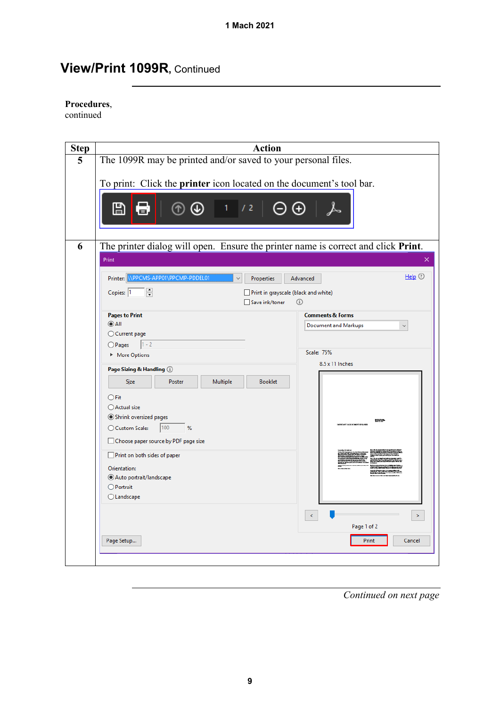#### **Procedures**,

continued

| <b>Step</b> | <b>Action</b>                                                                             |                              |  |  |
|-------------|-------------------------------------------------------------------------------------------|------------------------------|--|--|
| 5           | The 1099R may be printed and/or saved to your personal files.                             |                              |  |  |
|             | To print: Click the printer icon located on the document's tool bar.<br>⊞<br>/2<br>1<br>信 |                              |  |  |
| 6           | The printer dialog will open. Ensure the printer name is correct and click Print.         |                              |  |  |
|             | Print                                                                                     |                              |  |  |
|             | \\PPCMS-APP01\PPCMP-PDDEL01<br>Printer:<br><b>Properties</b>                              | Help $①$<br>Advanced         |  |  |
|             | $\equiv$<br>Copies: 1<br>Print in grayscale (black and white)<br>□ Save ink/toner         | $\odot$                      |  |  |
|             | <b>Pages to Print</b>                                                                     | <b>Comments &amp; Forms</b>  |  |  |
|             | $\odot$ All<br>◯ Current page                                                             | <b>Document and Markups</b>  |  |  |
|             | $1 - 2$<br>$O$ Pages                                                                      |                              |  |  |
|             | More Options                                                                              | <b>Scale: 75%</b>            |  |  |
|             | Page Sizing & Handling 1                                                                  | 8.5 x 11 Inches              |  |  |
|             | <b>Booklet</b><br>Poster<br>Multiple<br><b>Size</b>                                       |                              |  |  |
|             | $\bigcirc$ Fit                                                                            |                              |  |  |
|             | ◯ Actual size                                                                             |                              |  |  |
|             | Shrink oversized pages<br>○ Custom Scale:<br>$ 100\rangle$<br>%                           | 8159<br><b>ETALE SCIMBER</b> |  |  |
|             |                                                                                           |                              |  |  |
|             | Choose paper source by PDF page size                                                      |                              |  |  |
|             | Print on both sides of paper                                                              |                              |  |  |
|             | Orientation:<br>Auto portrait/landscape                                                   |                              |  |  |
|             | $\bigcirc$ Portrait                                                                       |                              |  |  |
|             | $\bigcirc$ Landscape                                                                      |                              |  |  |
|             |                                                                                           | $\epsilon$<br>$\,>\,$        |  |  |
|             |                                                                                           | Page 1 of 2                  |  |  |
|             | Page Setup                                                                                | Cancel<br>Print              |  |  |
|             |                                                                                           |                              |  |  |
|             |                                                                                           |                              |  |  |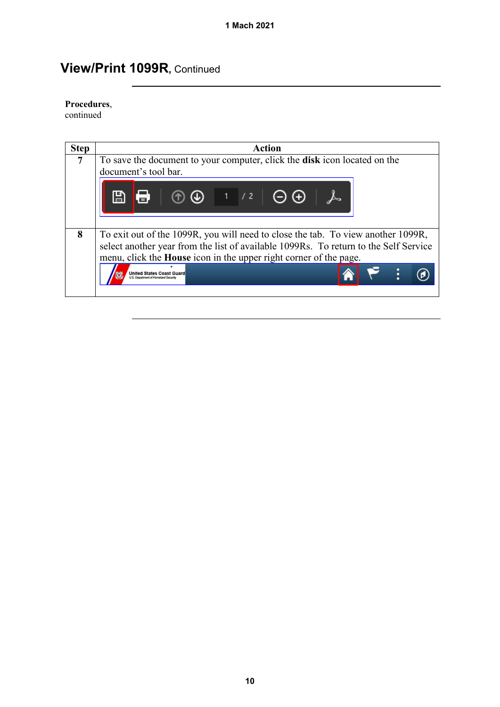#### **Procedures**,

continued

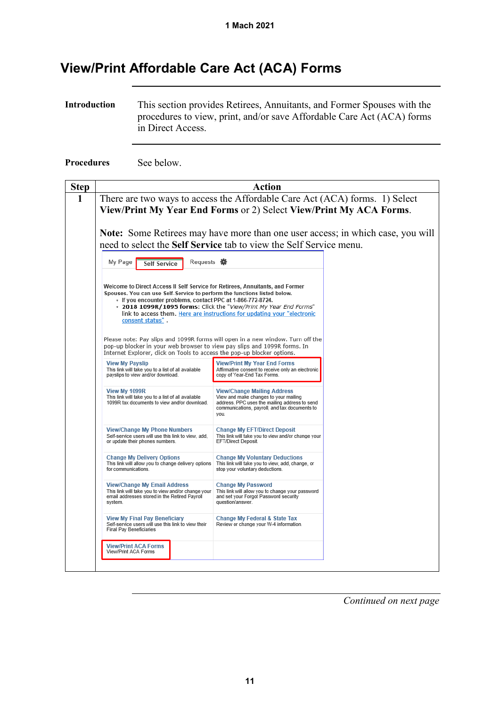### <span id="page-10-0"></span>**View/Print Affordable Care Act (ACA) Forms**

**Introduction** This section provides Retirees, Annuitants, and Former Spouses with the procedures to view, print, and/or save Affordable Care Act (ACA) forms in Direct Access.

**Procedures** See below.

| <b>Step</b> | <b>Action</b>                                                                                                                                                                                                                                |                                                                                                                                                                                       |  |  |  |  |  |
|-------------|----------------------------------------------------------------------------------------------------------------------------------------------------------------------------------------------------------------------------------------------|---------------------------------------------------------------------------------------------------------------------------------------------------------------------------------------|--|--|--|--|--|
| 1           | There are two ways to access the Affordable Care Act (ACA) forms. 1) Select                                                                                                                                                                  |                                                                                                                                                                                       |  |  |  |  |  |
|             | View/Print My Year End Forms or 2) Select View/Print My ACA Forms.                                                                                                                                                                           |                                                                                                                                                                                       |  |  |  |  |  |
|             | <b>Note:</b> Some Retirees may have more than one user access; in which case, you will                                                                                                                                                       |                                                                                                                                                                                       |  |  |  |  |  |
|             | need to select the Self Service tab to view the Self Service menu.                                                                                                                                                                           |                                                                                                                                                                                       |  |  |  |  |  |
|             | Requests <b>娄</b><br>My Page<br><b>Self Service</b>                                                                                                                                                                                          |                                                                                                                                                                                       |  |  |  |  |  |
|             | Welcome to Direct Access II Self Service for Retirees, Annuitants, and Former<br>Spouses. You can use Self-Service to perform the functions listed below.<br>- If you encounter problems, contact PPC at 1-866-772-8724.<br>consent status". | - 2018 1099R/1095 forms: Click the "View/Print My Year End Forms"<br>link to access them. Here are instructions for updating your "electronic                                         |  |  |  |  |  |
|             | Please note: Pay slips and 1099R forms will open in a new window. Turn off the<br>pop-up blocker in your web browser to view pay slips and 1099R forms. In<br>Internet Explorer, click on Tools to access the pop-up blocker options.        |                                                                                                                                                                                       |  |  |  |  |  |
|             | <b>View My Payslip</b><br>This link will take you to a list of all available<br>payslips to view and/or download.                                                                                                                            | <b>View/Print My Year End Forms</b><br>Affirmative consent to receive only an electronic<br>copy of Year-End Tax Forms.                                                               |  |  |  |  |  |
|             | View My 1099R<br>This link will take you to a list of all available<br>1099R tax documents to view and/or download.                                                                                                                          | <b>View/Change Mailing Address</b><br>View and make changes to your mailing<br>address. PPC uses the mailing address to send<br>communications, payroll, and tax documents to<br>you. |  |  |  |  |  |
|             | <b>View/Change My Phone Numbers</b><br>Self-service users will use this link to view, add.<br>or update their phones numbers.                                                                                                                | <b>Change My EFT/Direct Deposit</b><br>This link will take you to view and/or change your<br>EFT/Direct Deposit.                                                                      |  |  |  |  |  |
|             | <b>Change My Delivery Options</b><br>This link will allow you to change delivery options<br>for communications.                                                                                                                              | <b>Change My Voluntary Deductions</b><br>This link will take you to view, add, change, or<br>stop your voluntary deductions.                                                          |  |  |  |  |  |
|             | <b>View/Change My Email Address</b><br>This link will take you to view and/or change your<br>email addresses stored in the Retired Payroll<br>system.                                                                                        | <b>Change My Password</b><br>This link will allow you to change your password<br>and set your Forgot Password security<br>question/answer.                                            |  |  |  |  |  |
|             | <b>View My Final Pay Beneficiary</b><br>Self-service users will use this link to view their<br><b>Final Pay Beneficiaries</b>                                                                                                                | Change My Federal & State Tax<br>Review or change your W-4 information.                                                                                                               |  |  |  |  |  |
|             | <b>View/Print ACA Forms</b><br>View/Print ACA Forms                                                                                                                                                                                          |                                                                                                                                                                                       |  |  |  |  |  |
|             |                                                                                                                                                                                                                                              |                                                                                                                                                                                       |  |  |  |  |  |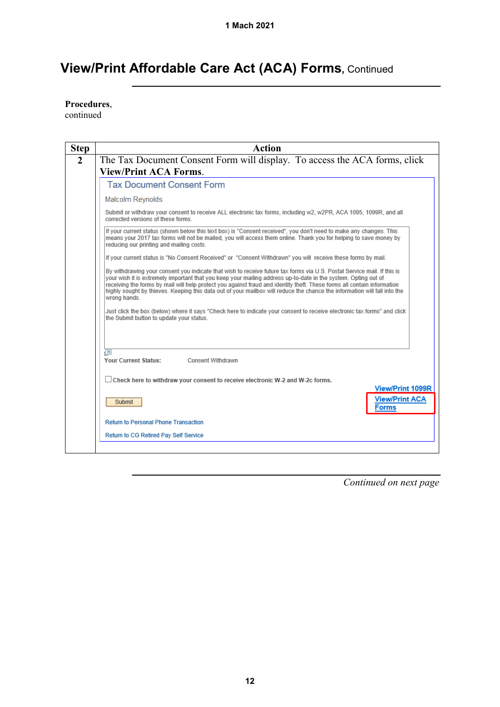**Procedures**,

continued

| <b>Step</b>    | <b>Action</b>                                                                                                                                                                                                                                                                                                                                                                                                                                                                                                                                                                                                                                                                             |
|----------------|-------------------------------------------------------------------------------------------------------------------------------------------------------------------------------------------------------------------------------------------------------------------------------------------------------------------------------------------------------------------------------------------------------------------------------------------------------------------------------------------------------------------------------------------------------------------------------------------------------------------------------------------------------------------------------------------|
| $\overline{2}$ | The Tax Document Consent Form will display. To access the ACA forms, click<br><b>View/Print ACA Forms.</b>                                                                                                                                                                                                                                                                                                                                                                                                                                                                                                                                                                                |
|                | <b>Tax Document Consent Form</b>                                                                                                                                                                                                                                                                                                                                                                                                                                                                                                                                                                                                                                                          |
|                | Malcolm Reynolds                                                                                                                                                                                                                                                                                                                                                                                                                                                                                                                                                                                                                                                                          |
|                | Submit or withdraw your consent to receive ALL electronic tax forms, including w2, w2PR, ACA 1095, 1099R, and all<br>corrected versions of these forms                                                                                                                                                                                                                                                                                                                                                                                                                                                                                                                                    |
|                | If your current status (shown below this text box) is "Consent received", you don't need to make any changes. This<br>means your 2017 tax forms will not be mailed, you will access them online. Thank you for helping to save money by<br>reducing our printing and mailing costs.                                                                                                                                                                                                                                                                                                                                                                                                       |
|                | If your current status is "No Consent Received" or "Consent Withdrawn" you will receive these forms by mail.                                                                                                                                                                                                                                                                                                                                                                                                                                                                                                                                                                              |
|                | By withdrawing your consent you indicate that wish to receive future tax forms via U.S. Postal Service mail. If this is<br>your wish it is extremely important that you keep your mailing address up-to-date in the system. Opting out of<br>receiving the forms by mail will help protect you against fraud and identity theft. These forms all contain information<br>highly sought by thieves. Keeping this data out of your mailbox will reduce the chance the information will fall into the<br>wrong hands.<br>Just click the box (below) where it says "Check here to indicate your consent to receive electronic tax forms" and click<br>the Submit button to update your status. |
|                | łП<br>Your Current Status:<br>Consent Withdrawn                                                                                                                                                                                                                                                                                                                                                                                                                                                                                                                                                                                                                                           |
|                | $\Box$ Check here to withdraw your consent to receive electronic W-2 and W-2c forms.<br><b>View/Print 1099R</b>                                                                                                                                                                                                                                                                                                                                                                                                                                                                                                                                                                           |
|                | <b>View/Print ACA</b><br><b>Submit</b><br><b>Forms</b>                                                                                                                                                                                                                                                                                                                                                                                                                                                                                                                                                                                                                                    |
|                | <b>Return to Personal Phone Transaction</b>                                                                                                                                                                                                                                                                                                                                                                                                                                                                                                                                                                                                                                               |
|                | Return to CG Retired Pay Self Service                                                                                                                                                                                                                                                                                                                                                                                                                                                                                                                                                                                                                                                     |
|                |                                                                                                                                                                                                                                                                                                                                                                                                                                                                                                                                                                                                                                                                                           |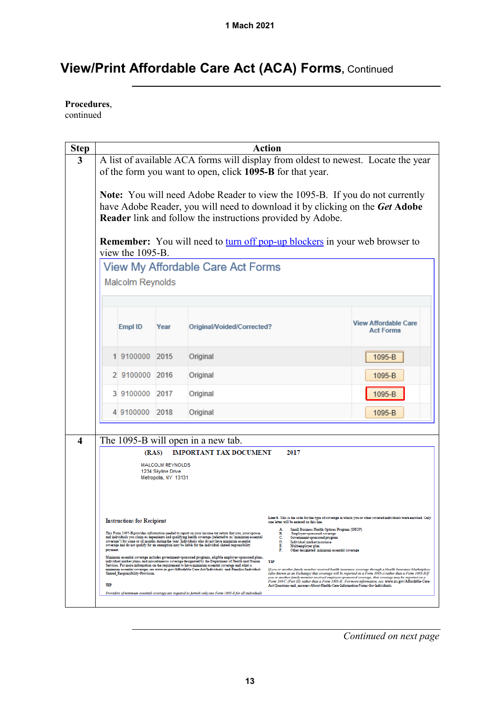**Procedures**,

continued

| <b>Step</b>                                                           | <b>Action</b>                                                                                                                                                                                                                                                                                                                                                                                                                                                                                                                                                                                                                                                                                                                                                                                                                                                                                    |                  |                                                                                                                                                                                                                                                                                                                                                                                                                            |                                                                                                                                                                                                                                                                                                                                                                                                                                                                                                                                    |        |  |  |
|-----------------------------------------------------------------------|--------------------------------------------------------------------------------------------------------------------------------------------------------------------------------------------------------------------------------------------------------------------------------------------------------------------------------------------------------------------------------------------------------------------------------------------------------------------------------------------------------------------------------------------------------------------------------------------------------------------------------------------------------------------------------------------------------------------------------------------------------------------------------------------------------------------------------------------------------------------------------------------------|------------------|----------------------------------------------------------------------------------------------------------------------------------------------------------------------------------------------------------------------------------------------------------------------------------------------------------------------------------------------------------------------------------------------------------------------------|------------------------------------------------------------------------------------------------------------------------------------------------------------------------------------------------------------------------------------------------------------------------------------------------------------------------------------------------------------------------------------------------------------------------------------------------------------------------------------------------------------------------------------|--------|--|--|
|                                                                       | A list of available ACA forms will display from oldest to newest. Locate the year<br>of the form you want to open, click 1095-B for that year.                                                                                                                                                                                                                                                                                                                                                                                                                                                                                                                                                                                                                                                                                                                                                   |                  |                                                                                                                                                                                                                                                                                                                                                                                                                            |                                                                                                                                                                                                                                                                                                                                                                                                                                                                                                                                    |        |  |  |
|                                                                       | Note: You will need Adobe Reader to view the 1095-B. If you do not currently<br>have Adobe Reader, you will need to download it by clicking on the Get Adobe<br>Reader link and follow the instructions provided by Adobe.<br><b>Remember:</b> You will need to turn off pop-up blockers in your web browser to<br>view the 1095-B.                                                                                                                                                                                                                                                                                                                                                                                                                                                                                                                                                              |                  |                                                                                                                                                                                                                                                                                                                                                                                                                            |                                                                                                                                                                                                                                                                                                                                                                                                                                                                                                                                    |        |  |  |
|                                                                       |                                                                                                                                                                                                                                                                                                                                                                                                                                                                                                                                                                                                                                                                                                                                                                                                                                                                                                  |                  | View My Affordable Care Act Forms                                                                                                                                                                                                                                                                                                                                                                                          |                                                                                                                                                                                                                                                                                                                                                                                                                                                                                                                                    |        |  |  |
|                                                                       |                                                                                                                                                                                                                                                                                                                                                                                                                                                                                                                                                                                                                                                                                                                                                                                                                                                                                                  | Malcolm Reynolds |                                                                                                                                                                                                                                                                                                                                                                                                                            |                                                                                                                                                                                                                                                                                                                                                                                                                                                                                                                                    |        |  |  |
|                                                                       |                                                                                                                                                                                                                                                                                                                                                                                                                                                                                                                                                                                                                                                                                                                                                                                                                                                                                                  |                  |                                                                                                                                                                                                                                                                                                                                                                                                                            |                                                                                                                                                                                                                                                                                                                                                                                                                                                                                                                                    |        |  |  |
|                                                                       | Empl ID                                                                                                                                                                                                                                                                                                                                                                                                                                                                                                                                                                                                                                                                                                                                                                                                                                                                                          | Year             |                                                                                                                                                                                                                                                                                                                                                                                                                            | <b>View Affordable Care</b><br>Original/Voided/Corrected?<br><b>Act Forms</b>                                                                                                                                                                                                                                                                                                                                                                                                                                                      |        |  |  |
|                                                                       |                                                                                                                                                                                                                                                                                                                                                                                                                                                                                                                                                                                                                                                                                                                                                                                                                                                                                                  | 1 9100000 2015   | Original                                                                                                                                                                                                                                                                                                                                                                                                                   |                                                                                                                                                                                                                                                                                                                                                                                                                                                                                                                                    | 1095-B |  |  |
|                                                                       |                                                                                                                                                                                                                                                                                                                                                                                                                                                                                                                                                                                                                                                                                                                                                                                                                                                                                                  | 2 9100000 2016   | Original                                                                                                                                                                                                                                                                                                                                                                                                                   |                                                                                                                                                                                                                                                                                                                                                                                                                                                                                                                                    | 1095-B |  |  |
|                                                                       |                                                                                                                                                                                                                                                                                                                                                                                                                                                                                                                                                                                                                                                                                                                                                                                                                                                                                                  | 3 9100000 2017   | Original                                                                                                                                                                                                                                                                                                                                                                                                                   | 1095-B                                                                                                                                                                                                                                                                                                                                                                                                                                                                                                                             |        |  |  |
|                                                                       |                                                                                                                                                                                                                                                                                                                                                                                                                                                                                                                                                                                                                                                                                                                                                                                                                                                                                                  | 4 9100000 2018   | Original<br>$1095 - B$                                                                                                                                                                                                                                                                                                                                                                                                     |                                                                                                                                                                                                                                                                                                                                                                                                                                                                                                                                    |        |  |  |
|                                                                       |                                                                                                                                                                                                                                                                                                                                                                                                                                                                                                                                                                                                                                                                                                                                                                                                                                                                                                  |                  |                                                                                                                                                                                                                                                                                                                                                                                                                            |                                                                                                                                                                                                                                                                                                                                                                                                                                                                                                                                    |        |  |  |
|                                                                       |                                                                                                                                                                                                                                                                                                                                                                                                                                                                                                                                                                                                                                                                                                                                                                                                                                                                                                  | (RAS)            | The 1095-B will open in a new tab.<br><b>IMPORTANT TAX DOCUMENT</b>                                                                                                                                                                                                                                                                                                                                                        | 2017                                                                                                                                                                                                                                                                                                                                                                                                                                                                                                                               |        |  |  |
| <b>MALCOLM REYNOLDS</b><br>1234 Skyline Drive<br>Metropolis, NY 13131 |                                                                                                                                                                                                                                                                                                                                                                                                                                                                                                                                                                                                                                                                                                                                                                                                                                                                                                  |                  |                                                                                                                                                                                                                                                                                                                                                                                                                            |                                                                                                                                                                                                                                                                                                                                                                                                                                                                                                                                    |        |  |  |
|                                                                       | Line 8. This is the code for the type of coverage in which you or other covered individuals were enrolled. Only<br><b>Instructions for Recipient</b><br>one letter will be entered on this line.<br>Small Business Health Options Program (SHOP)<br>This Form 1095-B provides information needed to report on your income tax return that you, your spouse,<br>В.<br>Employer-sponsored coverage<br>and individuals you claim as dependents had qualifying health coverage (referred to as "minimum essential<br>Government-sponsored program<br>c.<br>coverage") for some or all months during the year. Individuals who do not have minimum essential<br>Individual market insurance<br>D.<br>coverage and do not qualify for an exemption may be liable for the individual shared responsibility<br>E.<br>Multiemployer plan<br>payment.<br>F.<br>Other designated minimum essential coverage |                  |                                                                                                                                                                                                                                                                                                                                                                                                                            |                                                                                                                                                                                                                                                                                                                                                                                                                                                                                                                                    |        |  |  |
| TIP                                                                   | Shared Responsibility-Provision.                                                                                                                                                                                                                                                                                                                                                                                                                                                                                                                                                                                                                                                                                                                                                                                                                                                                 |                  | Minimum essential coverage includes government-sponsored programs, eligible employer-sponsored plans,<br>individual market plans, and miscellaneous coverage designated by the Department of Health and Human<br>Services. For more information on the requirement to have minimum essential coverage and what is<br>minimum essential coverage, see www.irs.gov/Affordable-Care-Act/Individuals -and-Families/Individual- | TIP<br>If you or another family member received health insurance coverage through a Health Insurance Marketplace<br>(also known as an Exchange) that coverage will be reported on a Form 1095-A rather than a Form 1095-B If<br>you or another family member received employer-sponsored coverage, that coverage may be reported on a<br>Form 109-C (Part III) rather than a Form 1095-B. For more information, see www.irs.gov/Affordable-Care-<br>Act/Questions-and answers-About-Health-Care-Information-Forms-for-Individuals. |        |  |  |
|                                                                       | Providers of minimum essential coverage are required to furnish only one Form 1095-B for all individuals                                                                                                                                                                                                                                                                                                                                                                                                                                                                                                                                                                                                                                                                                                                                                                                         |                  |                                                                                                                                                                                                                                                                                                                                                                                                                            |                                                                                                                                                                                                                                                                                                                                                                                                                                                                                                                                    |        |  |  |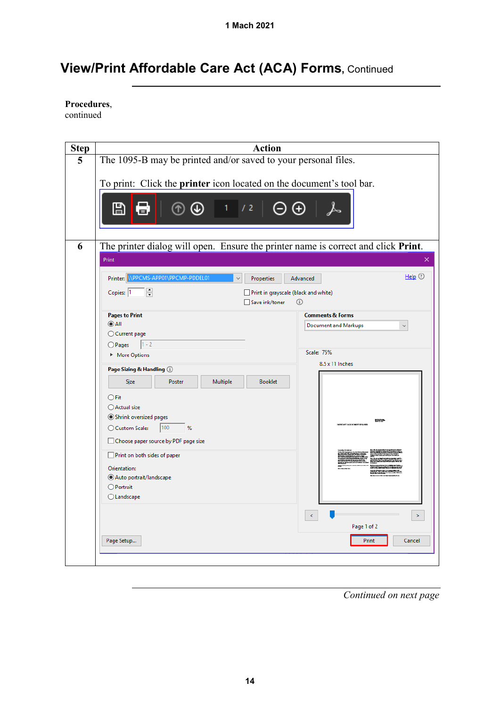**Procedures**,

continued

| <b>Step</b> | <b>Action</b>                                                                                                                                                   |                                   |
|-------------|-----------------------------------------------------------------------------------------------------------------------------------------------------------------|-----------------------------------|
| 5           | The 1095-B may be printed and/or saved to your personal files.                                                                                                  |                                   |
|             | To print: Click the printer icon located on the document's tool bar.<br>⊞<br>⅄<br>⋂<br>72<br>6.                                                                 |                                   |
| 6           | The printer dialog will open. Ensure the printer name is correct and click Print.                                                                               |                                   |
|             | Print<br>\\PPCMS-APP01\PPCMP-PDDEL01<br>Printer:<br>Properties<br>$\frac{1}{\sqrt{2}}$<br>Copies: 1<br>Print in grayscale (black and white)<br>□ Save ink/toner | $HeIp$ $@$<br>Advanced<br>$\odot$ |
|             | <b>Pages to Print</b>                                                                                                                                           | <b>Comments &amp; Forms</b>       |
|             | $\odot$ All                                                                                                                                                     | <b>Document and Markups</b>       |
|             | ◯ Current page<br>$1 - 2$<br>$O$ Pages                                                                                                                          |                                   |
|             | More Options                                                                                                                                                    | <b>Scale: 75%</b>                 |
|             | Page Sizing & Handling 1                                                                                                                                        | 8.5 x 11 Inches                   |
|             | <b>Booklet</b><br>Poster<br>Multiple<br>Size                                                                                                                    |                                   |
|             | $\bigcirc$ Fit                                                                                                                                                  |                                   |
|             | ○ Actual size                                                                                                                                                   |                                   |
|             | Shrink oversized pages<br>100<br>○ Custom Scale:<br>%                                                                                                           | 8159                              |
|             | Choose paper source by PDF page size                                                                                                                            |                                   |
|             | Print on both sides of paper                                                                                                                                    |                                   |
|             | Orientation:                                                                                                                                                    |                                   |
|             | Auto portrait/landscape                                                                                                                                         |                                   |
|             | $\bigcirc$ Portrait<br>$\bigcirc$ Landscape                                                                                                                     |                                   |
|             |                                                                                                                                                                 |                                   |
|             |                                                                                                                                                                 | $\leq$<br>$\,>\,$                 |
|             |                                                                                                                                                                 | Page 1 of 2                       |
|             | Page Setup                                                                                                                                                      | Print<br>Cancel                   |
|             |                                                                                                                                                                 |                                   |